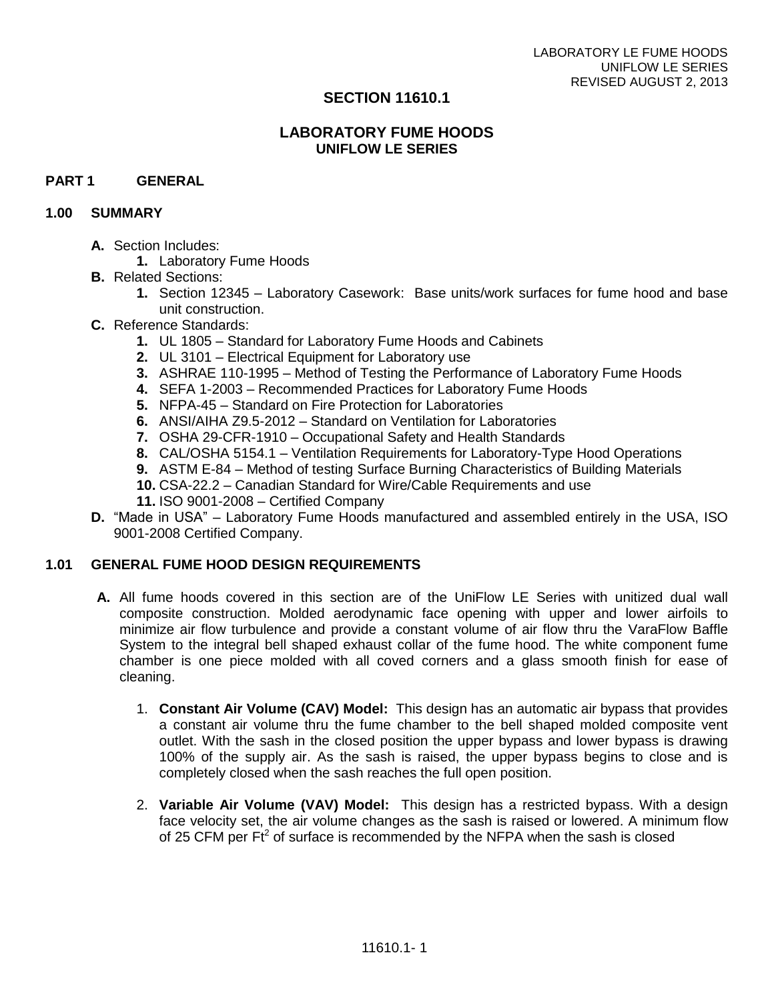## **SECTION 11610.1**

# **LABORATORY FUME HOODS UNIFLOW LE SERIES**

## **PART 1 GENERAL**

#### **1.00 SUMMARY**

- **A.** Section Includes:
	- **1.** Laboratory Fume Hoods
- **B.** Related Sections:
	- **1.** Section 12345 Laboratory Casework: Base units/work surfaces for fume hood and base unit construction.
- **C.** Reference Standards:
	- **1.** UL 1805 Standard for Laboratory Fume Hoods and Cabinets
	- **2.** UL 3101 Electrical Equipment for Laboratory use
	- **3.** ASHRAE 110-1995 Method of Testing the Performance of Laboratory Fume Hoods
	- **4.** SEFA 1-2003 Recommended Practices for Laboratory Fume Hoods
	- **5.** NFPA-45 Standard on Fire Protection for Laboratories
	- **6.** ANSI/AIHA Z9.5-2012 Standard on Ventilation for Laboratories
	- **7.** OSHA 29-CFR-1910 Occupational Safety and Health Standards
	- **8.** CAL/OSHA 5154.1 Ventilation Requirements for Laboratory-Type Hood Operations
	- **9.** ASTM E-84 Method of testing Surface Burning Characteristics of Building Materials
	- **10.** CSA-22.2 Canadian Standard for Wire/Cable Requirements and use
	- **11.** ISO 9001-2008 Certified Company
- **D.** "Made in USA" Laboratory Fume Hoods manufactured and assembled entirely in the USA, ISO 9001-2008 Certified Company.

#### **1.01 GENERAL FUME HOOD DESIGN REQUIREMENTS**

- **A.** All fume hoods covered in this section are of the UniFlow LE Series with unitized dual wall composite construction. Molded aerodynamic face opening with upper and lower airfoils to minimize air flow turbulence and provide a constant volume of air flow thru the VaraFlow Baffle System to the integral bell shaped exhaust collar of the fume hood. The white component fume chamber is one piece molded with all coved corners and a glass smooth finish for ease of cleaning.
	- 1. **Constant Air Volume (CAV) Model:** This design has an automatic air bypass that provides a constant air volume thru the fume chamber to the bell shaped molded composite vent outlet. With the sash in the closed position the upper bypass and lower bypass is drawing 100% of the supply air. As the sash is raised, the upper bypass begins to close and is completely closed when the sash reaches the full open position.
	- 2. **Variable Air Volume (VAV) Model:** This design has a restricted bypass. With a design face velocity set, the air volume changes as the sash is raised or lowered. A minimum flow of 25 CFM per  $Ft^2$  of surface is recommended by the NFPA when the sash is closed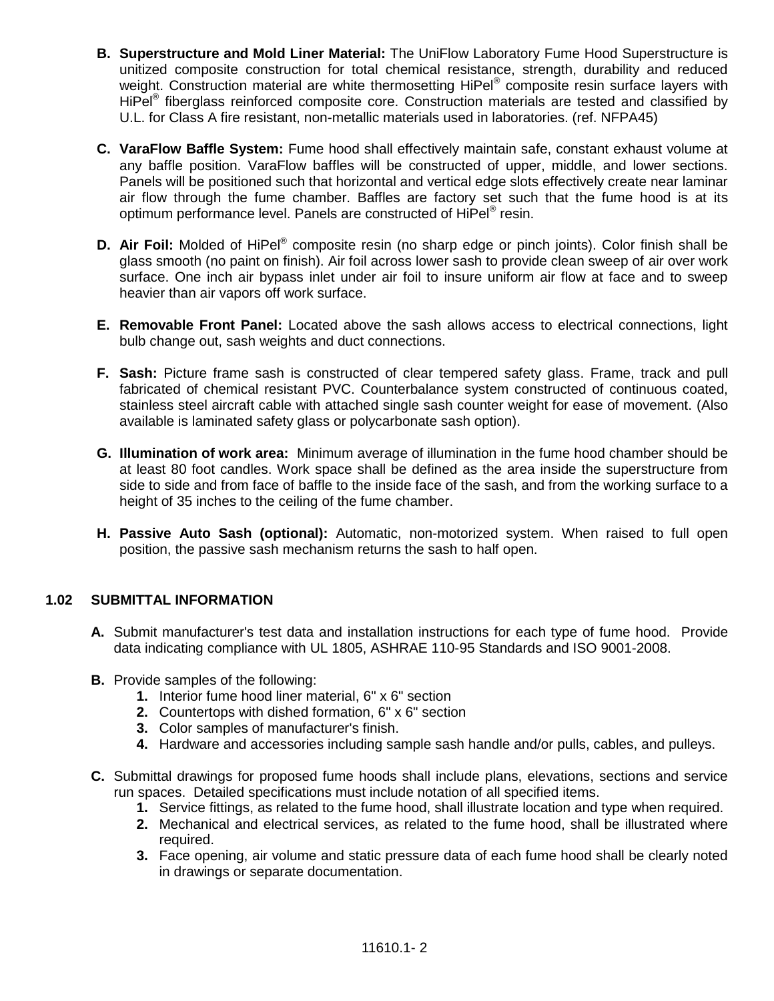- **B. Superstructure and Mold Liner Material:** The UniFlow Laboratory Fume Hood Superstructure is unitized composite construction for total chemical resistance, strength, durability and reduced weight. Construction material are white thermosetting HiPel® composite resin surface layers with HiPel<sup>®</sup> fiberglass reinforced composite core. Construction materials are tested and classified by U.L. for Class A fire resistant, non-metallic materials used in laboratories. (ref. NFPA45)
- **C. VaraFlow Baffle System:** Fume hood shall effectively maintain safe, constant exhaust volume at any baffle position. VaraFlow baffles will be constructed of upper, middle, and lower sections. Panels will be positioned such that horizontal and vertical edge slots effectively create near laminar air flow through the fume chamber. Baffles are factory set such that the fume hood is at its optimum performance level. Panels are constructed of HiPel® resin.
- **D. Air Foil:** Molded of HiPel® composite resin (no sharp edge or pinch joints). Color finish shall be glass smooth (no paint on finish). Air foil across lower sash to provide clean sweep of air over work surface. One inch air bypass inlet under air foil to insure uniform air flow at face and to sweep heavier than air vapors off work surface.
- **E. Removable Front Panel:** Located above the sash allows access to electrical connections, light bulb change out, sash weights and duct connections.
- **F. Sash:** Picture frame sash is constructed of clear tempered safety glass. Frame, track and pull fabricated of chemical resistant PVC. Counterbalance system constructed of continuous coated, stainless steel aircraft cable with attached single sash counter weight for ease of movement. (Also available is laminated safety glass or polycarbonate sash option).
- **G. Illumination of work area:** Minimum average of illumination in the fume hood chamber should be at least 80 foot candles. Work space shall be defined as the area inside the superstructure from side to side and from face of baffle to the inside face of the sash, and from the working surface to a height of 35 inches to the ceiling of the fume chamber.
- **H. Passive Auto Sash (optional):** Automatic, non-motorized system. When raised to full open position, the passive sash mechanism returns the sash to half open.

# **1.02 SUBMITTAL INFORMATION**

- **A.** Submit manufacturer's test data and installation instructions for each type of fume hood. Provide data indicating compliance with UL 1805, ASHRAE 110-95 Standards and ISO 9001-2008.
- **B.** Provide samples of the following:
	- **1.** Interior fume hood liner material, 6" x 6" section
	- **2.** Countertops with dished formation, 6" x 6" section
	- **3.** Color samples of manufacturer's finish.
	- **4.** Hardware and accessories including sample sash handle and/or pulls, cables, and pulleys.
- **C.** Submittal drawings for proposed fume hoods shall include plans, elevations, sections and service run spaces. Detailed specifications must include notation of all specified items.
	- **1.** Service fittings, as related to the fume hood, shall illustrate location and type when required.
	- **2.** Mechanical and electrical services, as related to the fume hood, shall be illustrated where required.
	- **3.** Face opening, air volume and static pressure data of each fume hood shall be clearly noted in drawings or separate documentation.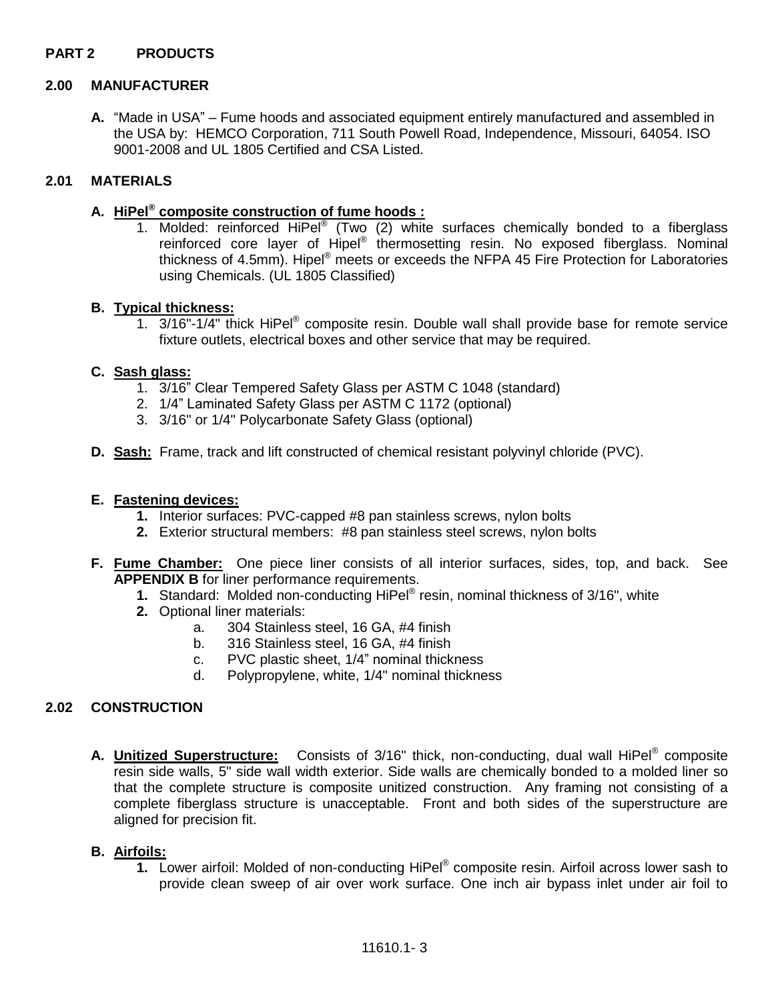## **PART 2 PRODUCTS**

#### **2.00 MANUFACTURER**

**A.** "Made in USA" – Fume hoods and associated equipment entirely manufactured and assembled in the USA by: HEMCO Corporation, 711 South Powell Road, Independence, Missouri, 64054. ISO 9001-2008 and UL 1805 Certified and CSA Listed.

# **2.01 MATERIALS**

# **A. HiPel® composite construction of fume hoods :**

1. Molded: reinforced HiPel<sup>®</sup> (Two (2) white surfaces chemically bonded to a fiberglass reinforced core layer of Hipel® thermosetting resin. No exposed fiberglass. Nominal thickness of 4.5mm). Hipel® meets or exceeds the NFPA 45 Fire Protection for Laboratories using Chemicals. (UL 1805 Classified)

#### **B. Typical thickness:**

1. 3/16"-1/4" thick HiPel<sup>®</sup> composite resin. Double wall shall provide base for remote service fixture outlets, electrical boxes and other service that may be required.

#### **C. Sash glass:**

- 1. 3/16" Clear Tempered Safety Glass per ASTM C 1048 (standard)
- 2. 1/4" Laminated Safety Glass per ASTM C 1172 (optional)
- 3. 3/16" or 1/4" Polycarbonate Safety Glass (optional)
- **D. Sash:** Frame, track and lift constructed of chemical resistant polyvinyl chloride (PVC).

#### **E. Fastening devices:**

- **1.** Interior surfaces: PVC-capped #8 pan stainless screws, nylon bolts
- **2.** Exterior structural members: #8 pan stainless steel screws, nylon bolts
- **F. Fume Chamber:** One piece liner consists of all interior surfaces, sides, top, and back. See **APPENDIX B** for liner performance requirements.
	- **1.** Standard: Molded non-conducting HiPel® resin, nominal thickness of 3/16", white
	- **2.** Optional liner materials:
		- a. 304 Stainless steel, 16 GA, #4 finish
		- b. 316 Stainless steel, 16 GA, #4 finish
		- c. PVC plastic sheet, 1/4" nominal thickness
		- d. Polypropylene, white, 1/4" nominal thickness

## **2.02 CONSTRUCTION**

**A. Unitized Superstructure:** Consists of 3/16" thick, non-conducting, dual wall HiPel® composite resin side walls, 5" side wall width exterior. Side walls are chemically bonded to a molded liner so that the complete structure is composite unitized construction. Any framing not consisting of a complete fiberglass structure is unacceptable. Front and both sides of the superstructure are aligned for precision fit.

## **B. Airfoils:**

**1.** Lower airfoil: Molded of non-conducting HiPel® composite resin. Airfoil across lower sash to provide clean sweep of air over work surface. One inch air bypass inlet under air foil to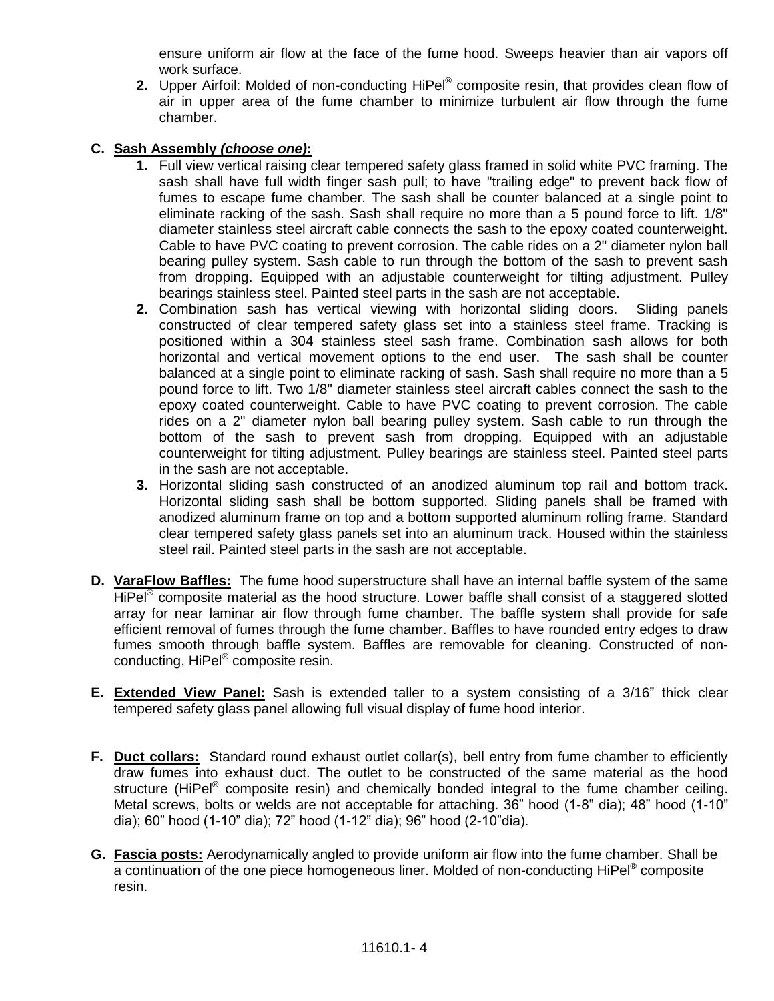ensure uniform air flow at the face of the fume hood. Sweeps heavier than air vapors off work surface.

**2.** Upper Airfoil: Molded of non-conducting HiPel® composite resin, that provides clean flow of air in upper area of the fume chamber to minimize turbulent air flow through the fume chamber.

# **C. Sash Assembly** *(choose one)***:**

- **1.** Full view vertical raising clear tempered safety glass framed in solid white PVC framing. The sash shall have full width finger sash pull; to have "trailing edge" to prevent back flow of fumes to escape fume chamber. The sash shall be counter balanced at a single point to eliminate racking of the sash. Sash shall require no more than a 5 pound force to lift. 1/8" diameter stainless steel aircraft cable connects the sash to the epoxy coated counterweight. Cable to have PVC coating to prevent corrosion. The cable rides on a 2" diameter nylon ball bearing pulley system. Sash cable to run through the bottom of the sash to prevent sash from dropping. Equipped with an adjustable counterweight for tilting adjustment. Pulley bearings stainless steel. Painted steel parts in the sash are not acceptable.
- **2.** Combination sash has vertical viewing with horizontal sliding doors. Sliding panels constructed of clear tempered safety glass set into a stainless steel frame. Tracking is positioned within a 304 stainless steel sash frame. Combination sash allows for both horizontal and vertical movement options to the end user. The sash shall be counter balanced at a single point to eliminate racking of sash. Sash shall require no more than a 5 pound force to lift. Two 1/8" diameter stainless steel aircraft cables connect the sash to the epoxy coated counterweight. Cable to have PVC coating to prevent corrosion. The cable rides on a 2" diameter nylon ball bearing pulley system. Sash cable to run through the bottom of the sash to prevent sash from dropping. Equipped with an adjustable counterweight for tilting adjustment. Pulley bearings are stainless steel. Painted steel parts in the sash are not acceptable.
- **3.** Horizontal sliding sash constructed of an anodized aluminum top rail and bottom track. Horizontal sliding sash shall be bottom supported. Sliding panels shall be framed with anodized aluminum frame on top and a bottom supported aluminum rolling frame. Standard clear tempered safety glass panels set into an aluminum track. Housed within the stainless steel rail. Painted steel parts in the sash are not acceptable.
- **D. VaraFlow Baffles:** The fume hood superstructure shall have an internal baffle system of the same HiPel<sup>®</sup> composite material as the hood structure. Lower baffle shall consist of a staggered slotted array for near laminar air flow through fume chamber. The baffle system shall provide for safe efficient removal of fumes through the fume chamber. Baffles to have rounded entry edges to draw fumes smooth through baffle system. Baffles are removable for cleaning. Constructed of nonconducting, HiPel® composite resin.
- **E. Extended View Panel:** Sash is extended taller to a system consisting of a 3/16" thick clear tempered safety glass panel allowing full visual display of fume hood interior.
- **F. Duct collars:** Standard round exhaust outlet collar(s), bell entry from fume chamber to efficiently draw fumes into exhaust duct. The outlet to be constructed of the same material as the hood structure (HiPel® composite resin) and chemically bonded integral to the fume chamber ceiling. Metal screws, bolts or welds are not acceptable for attaching. 36" hood (1-8" dia); 48" hood (1-10" dia); 60" hood (1-10" dia); 72" hood (1-12" dia); 96" hood (2-10"dia).
- **G. Fascia posts:** Aerodynamically angled to provide uniform air flow into the fume chamber. Shall be a continuation of the one piece homogeneous liner. Molded of non-conducting HiPel® composite resin.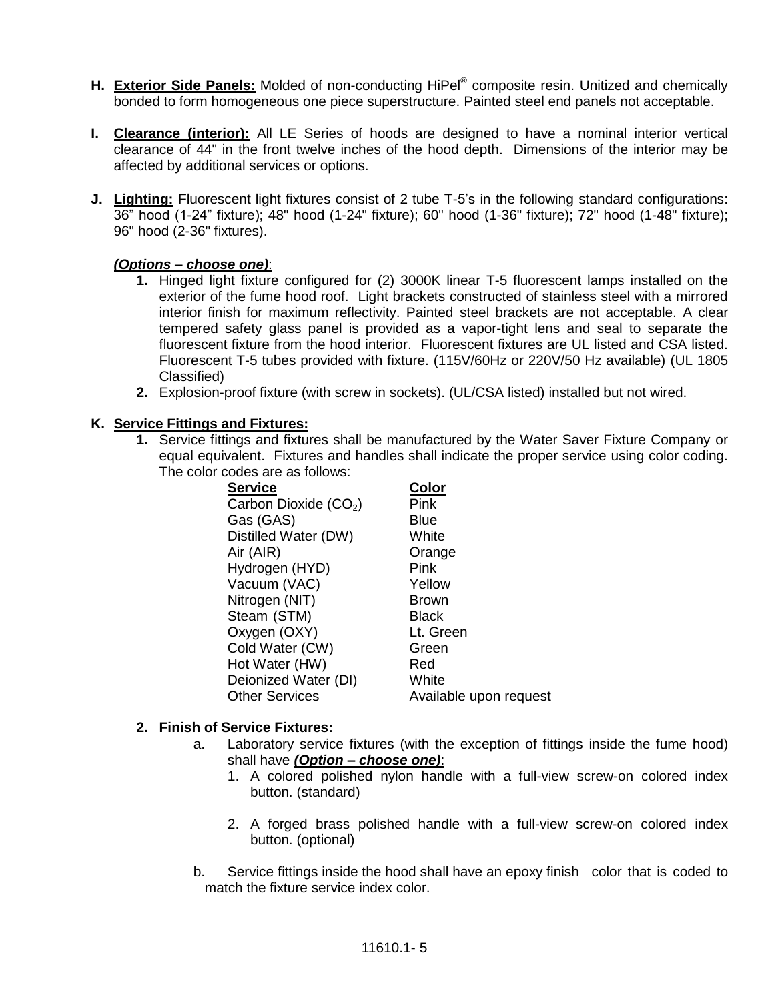- **H. Exterior Side Panels:** Molded of non-conducting HiPel® composite resin. Unitized and chemically bonded to form homogeneous one piece superstructure. Painted steel end panels not acceptable.
- **I. Clearance (interior):** All LE Series of hoods are designed to have a nominal interior vertical clearance of 44" in the front twelve inches of the hood depth. Dimensions of the interior may be affected by additional services or options.
- **J. Lighting:** Fluorescent light fixtures consist of 2 tube T-5's in the following standard configurations: 36" hood (1-24" fixture); 48" hood (1-24" fixture); 60" hood (1-36" fixture); 72" hood (1-48" fixture); 96" hood (2-36" fixtures).

## *(Options – choose one)*:

- **1.** Hinged light fixture configured for (2) 3000K linear T-5 fluorescent lamps installed on the exterior of the fume hood roof. Light brackets constructed of stainless steel with a mirrored interior finish for maximum reflectivity. Painted steel brackets are not acceptable. A clear tempered safety glass panel is provided as a vapor-tight lens and seal to separate the fluorescent fixture from the hood interior. Fluorescent fixtures are UL listed and CSA listed. Fluorescent T-5 tubes provided with fixture. (115V/60Hz or 220V/50 Hz available) (UL 1805 Classified)
- **2.** Explosion-proof fixture (with screw in sockets). (UL/CSA listed) installed but not wired.

#### **K. Service Fittings and Fixtures:**

**1.** Service fittings and fixtures shall be manufactured by the Water Saver Fixture Company or equal equivalent. Fixtures and handles shall indicate the proper service using color coding. The color codes are as follows:

| <b>Service</b>         | Color                  |
|------------------------|------------------------|
| Carbon Dioxide $(CO2)$ | Pink                   |
| Gas (GAS)              | <b>Blue</b>            |
| Distilled Water (DW)   | White                  |
| Air (AIR)              | Orange                 |
| Hydrogen (HYD)         | Pink                   |
| Vacuum (VAC)           | Yellow                 |
| Nitrogen (NIT)         | Brown                  |
| Steam (STM)            | <b>Black</b>           |
| Oxygen (OXY)           | Lt. Green              |
| Cold Water (CW)        | Green                  |
| Hot Water (HW)         | Red                    |
| Deionized Water (DI)   | White                  |
| <b>Other Services</b>  | Available upon request |

#### **2. Finish of Service Fixtures:**

- a. Laboratory service fixtures (with the exception of fittings inside the fume hood) shall have *(Option – choose one)*:
	- 1. A colored polished nylon handle with a full-view screw-on colored index button. (standard)
	- 2. A forged brass polished handle with a full-view screw-on colored index button. (optional)
- b. Service fittings inside the hood shall have an epoxy finish color that is coded to match the fixture service index color.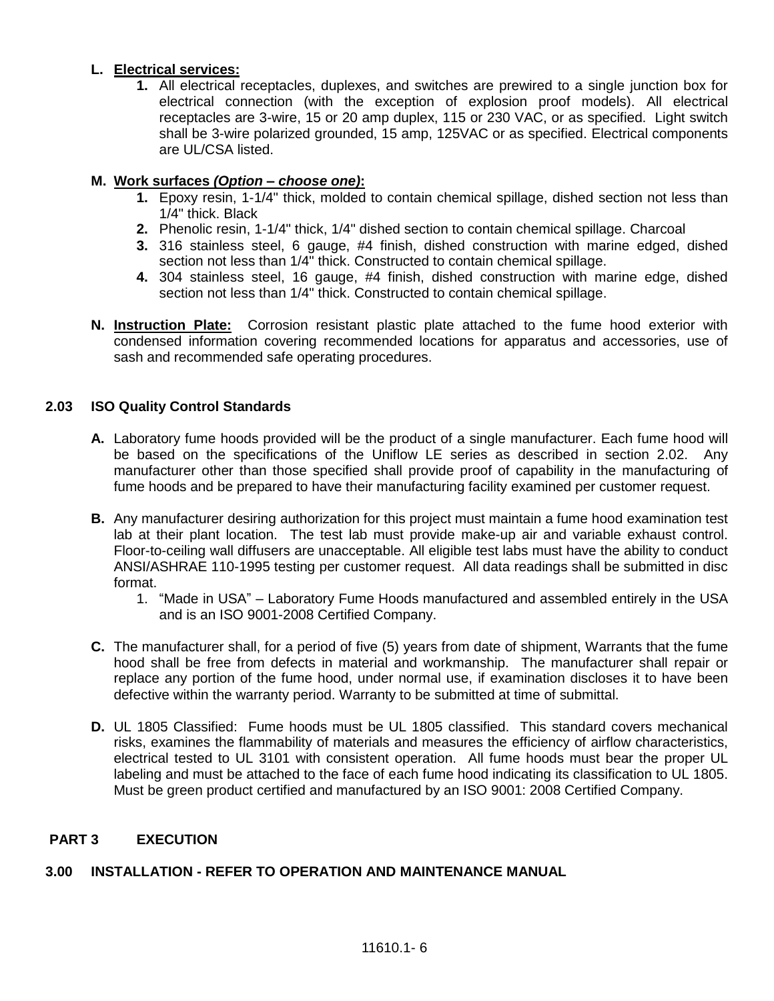## **L. Electrical services:**

**1.** All electrical receptacles, duplexes, and switches are prewired to a single junction box for electrical connection (with the exception of explosion proof models). All electrical receptacles are 3-wire, 15 or 20 amp duplex, 115 or 230 VAC, or as specified. Light switch shall be 3-wire polarized grounded, 15 amp, 125VAC or as specified. Electrical components are UL/CSA listed.

## **M. Work surfaces** *(Option – choose one)***:**

- **1.** Epoxy resin, 1-1/4" thick, molded to contain chemical spillage, dished section not less than 1/4" thick. Black
- **2.** Phenolic resin, 1-1/4" thick, 1/4" dished section to contain chemical spillage. Charcoal
- **3.** 316 stainless steel, 6 gauge, #4 finish, dished construction with marine edged, dished section not less than 1/4" thick. Constructed to contain chemical spillage.
- **4.** 304 stainless steel, 16 gauge, #4 finish, dished construction with marine edge, dished section not less than 1/4" thick. Constructed to contain chemical spillage.
- **N. Instruction Plate:** Corrosion resistant plastic plate attached to the fume hood exterior with condensed information covering recommended locations for apparatus and accessories, use of sash and recommended safe operating procedures.

## **2.03 ISO Quality Control Standards**

- **A.** Laboratory fume hoods provided will be the product of a single manufacturer. Each fume hood will be based on the specifications of the Uniflow LE series as described in section 2.02. Any manufacturer other than those specified shall provide proof of capability in the manufacturing of fume hoods and be prepared to have their manufacturing facility examined per customer request.
- **B.** Any manufacturer desiring authorization for this project must maintain a fume hood examination test lab at their plant location. The test lab must provide make-up air and variable exhaust control. Floor-to-ceiling wall diffusers are unacceptable. All eligible test labs must have the ability to conduct ANSI/ASHRAE 110-1995 testing per customer request. All data readings shall be submitted in disc format.
	- 1. "Made in USA" Laboratory Fume Hoods manufactured and assembled entirely in the USA and is an ISO 9001-2008 Certified Company.
- **C.** The manufacturer shall, for a period of five (5) years from date of shipment, Warrants that the fume hood shall be free from defects in material and workmanship. The manufacturer shall repair or replace any portion of the fume hood, under normal use, if examination discloses it to have been defective within the warranty period. Warranty to be submitted at time of submittal.
- **D.** UL 1805 Classified: Fume hoods must be UL 1805 classified. This standard covers mechanical risks, examines the flammability of materials and measures the efficiency of airflow characteristics, electrical tested to UL 3101 with consistent operation. All fume hoods must bear the proper UL labeling and must be attached to the face of each fume hood indicating its classification to UL 1805. Must be green product certified and manufactured by an ISO 9001: 2008 Certified Company.

## **PART 3 EXECUTION**

## **3.00 INSTALLATION - REFER TO OPERATION AND MAINTENANCE MANUAL**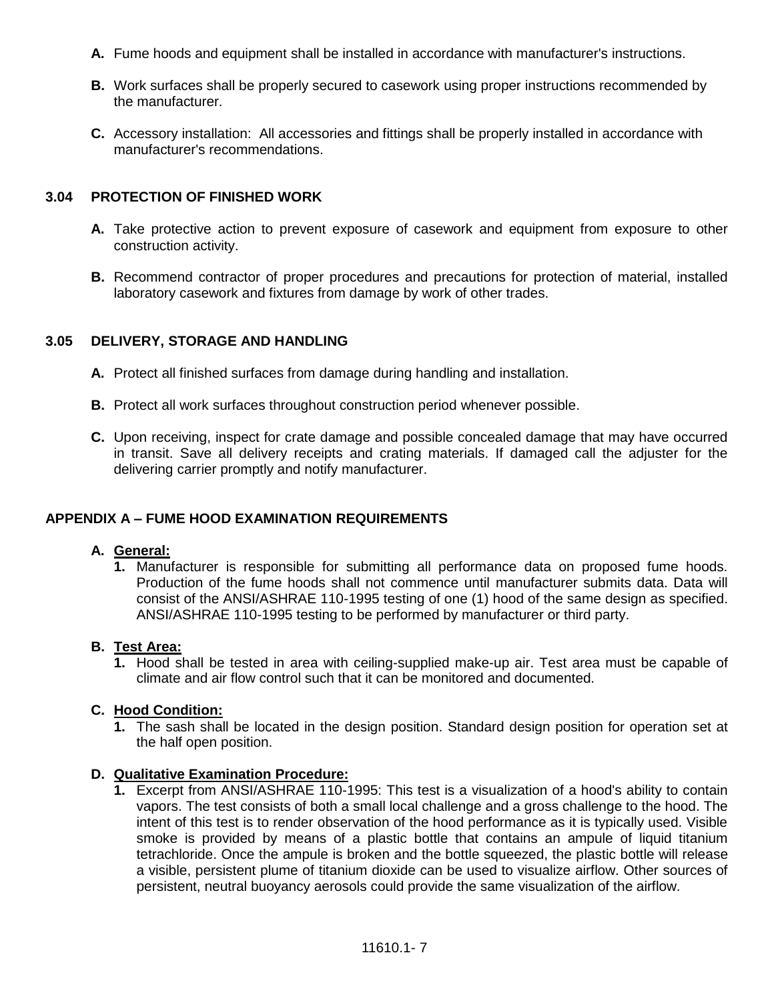- **A.** Fume hoods and equipment shall be installed in accordance with manufacturer's instructions.
- **B.** Work surfaces shall be properly secured to casework using proper instructions recommended by the manufacturer.
- **C.** Accessory installation: All accessories and fittings shall be properly installed in accordance with manufacturer's recommendations.

## **3.04 PROTECTION OF FINISHED WORK**

- **A.** Take protective action to prevent exposure of casework and equipment from exposure to other construction activity.
- **B.** Recommend contractor of proper procedures and precautions for protection of material, installed laboratory casework and fixtures from damage by work of other trades.

## **3.05 DELIVERY, STORAGE AND HANDLING**

- **A.** Protect all finished surfaces from damage during handling and installation.
- **B.** Protect all work surfaces throughout construction period whenever possible.
- **C.** Upon receiving, inspect for crate damage and possible concealed damage that may have occurred in transit. Save all delivery receipts and crating materials. If damaged call the adjuster for the delivering carrier promptly and notify manufacturer.

# **APPENDIX A – FUME HOOD EXAMINATION REQUIREMENTS**

## **A. General:**

**1.** Manufacturer is responsible for submitting all performance data on proposed fume hoods. Production of the fume hoods shall not commence until manufacturer submits data. Data will consist of the ANSI/ASHRAE 110-1995 testing of one (1) hood of the same design as specified. ANSI/ASHRAE 110-1995 testing to be performed by manufacturer or third party.

## **B. Test Area:**

**1.** Hood shall be tested in area with ceiling-supplied make-up air. Test area must be capable of climate and air flow control such that it can be monitored and documented.

## **C. Hood Condition:**

**1.** The sash shall be located in the design position. Standard design position for operation set at the half open position.

## **D. Qualitative Examination Procedure:**

**1.** Excerpt from ANSI/ASHRAE 110-1995: This test is a visualization of a hood's ability to contain vapors. The test consists of both a small local challenge and a gross challenge to the hood. The intent of this test is to render observation of the hood performance as it is typically used. Visible smoke is provided by means of a plastic bottle that contains an ampule of liquid titanium tetrachloride. Once the ampule is broken and the bottle squeezed, the plastic bottle will release a visible, persistent plume of titanium dioxide can be used to visualize airflow. Other sources of persistent, neutral buoyancy aerosols could provide the same visualization of the airflow.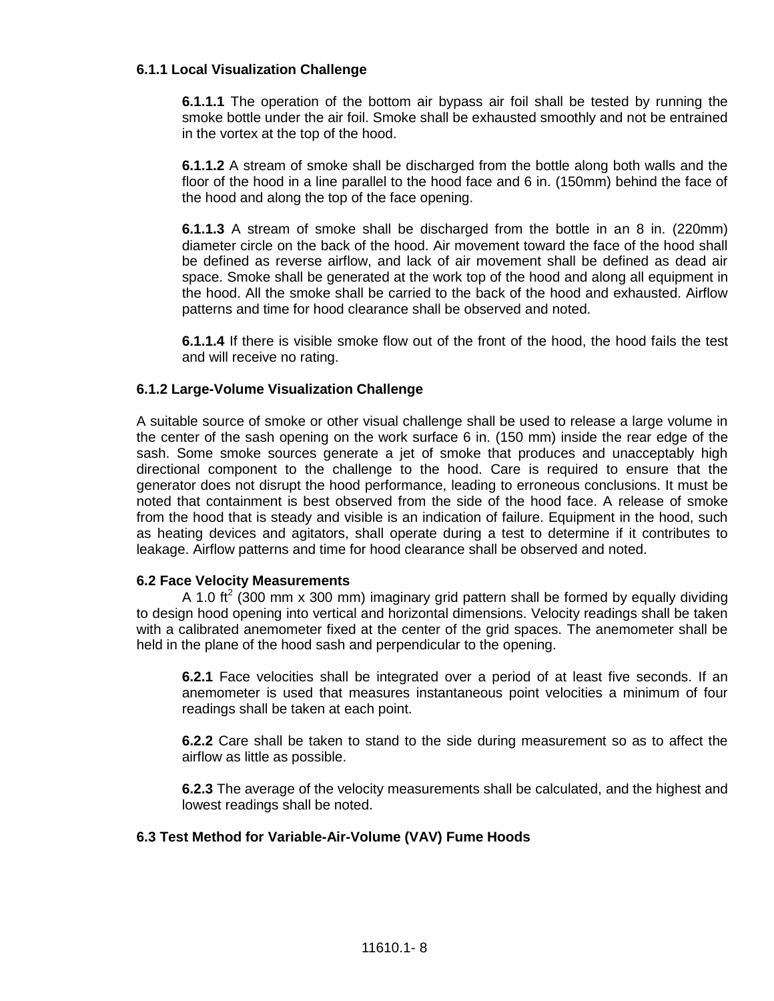#### **6.1.1 Local Visualization Challenge**

**6.1.1.1** The operation of the bottom air bypass air foil shall be tested by running the smoke bottle under the air foil. Smoke shall be exhausted smoothly and not be entrained in the vortex at the top of the hood.

**6.1.1.2** A stream of smoke shall be discharged from the bottle along both walls and the floor of the hood in a line parallel to the hood face and 6 in. (150mm) behind the face of the hood and along the top of the face opening.

**6.1.1.3** A stream of smoke shall be discharged from the bottle in an 8 in. (220mm) diameter circle on the back of the hood. Air movement toward the face of the hood shall be defined as reverse airflow, and lack of air movement shall be defined as dead air space. Smoke shall be generated at the work top of the hood and along all equipment in the hood. All the smoke shall be carried to the back of the hood and exhausted. Airflow patterns and time for hood clearance shall be observed and noted.

**6.1.1.4** If there is visible smoke flow out of the front of the hood, the hood fails the test and will receive no rating.

## **6.1.2 Large-Volume Visualization Challenge**

A suitable source of smoke or other visual challenge shall be used to release a large volume in the center of the sash opening on the work surface 6 in. (150 mm) inside the rear edge of the sash. Some smoke sources generate a jet of smoke that produces and unacceptably high directional component to the challenge to the hood. Care is required to ensure that the generator does not disrupt the hood performance, leading to erroneous conclusions. It must be noted that containment is best observed from the side of the hood face. A release of smoke from the hood that is steady and visible is an indication of failure. Equipment in the hood, such as heating devices and agitators, shall operate during a test to determine if it contributes to leakage. Airflow patterns and time for hood clearance shall be observed and noted.

#### **6.2 Face Velocity Measurements**

A 1.0 ft<sup>2</sup> (300 mm x 300 mm) imaginary grid pattern shall be formed by equally dividing to design hood opening into vertical and horizontal dimensions. Velocity readings shall be taken with a calibrated anemometer fixed at the center of the grid spaces. The anemometer shall be held in the plane of the hood sash and perpendicular to the opening.

**6.2.1** Face velocities shall be integrated over a period of at least five seconds. If an anemometer is used that measures instantaneous point velocities a minimum of four readings shall be taken at each point.

**6.2.2** Care shall be taken to stand to the side during measurement so as to affect the airflow as little as possible.

**6.2.3** The average of the velocity measurements shall be calculated, and the highest and lowest readings shall be noted.

#### **6.3 Test Method for Variable-Air-Volume (VAV) Fume Hoods**